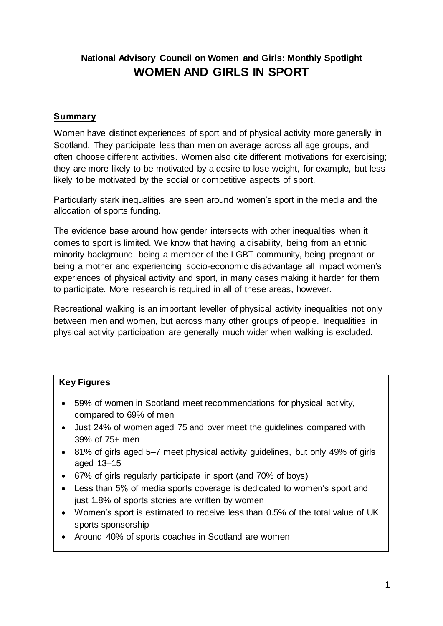# **National Advisory Council on Women and Girls: Monthly Spotlight WOMEN AND GIRLS IN SPORT**

#### **Summary**

Women have distinct experiences of sport and of physical activity more generally in Scotland. They participate less than men on average across all age groups, and often choose different activities. Women also cite different motivations for exercising; they are more likely to be motivated by a desire to lose weight, for example, but less likely to be motivated by the social or competitive aspects of sport.

Particularly stark inequalities are seen around women's sport in the media and the allocation of sports funding.

The evidence base around how gender intersects with other inequalities when it comes to sport is limited. We know that having a disability, being from an ethnic minority background, being a member of the LGBT community, being pregnant or being a mother and experiencing socio-economic disadvantage all impact women's experiences of physical activity and sport, in many cases making it harder for them to participate. More research is required in all of these areas, however.

Recreational walking is an important leveller of physical activity inequalities not only between men and women, but across many other groups of people. Inequalities in physical activity participation are generally much wider when walking is excluded.

### **Key Figures**

- 59% of women in Scotland meet recommendations for physical activity, compared to 69% of men
- Just 24% of women aged 75 and over meet the guidelines compared with 39% of 75+ men
- 81% of girls aged 5–7 meet physical activity guidelines, but only 49% of girls aged 13–15
- 67% of girls regularly participate in sport (and 70% of boys)
- Less than 5% of media sports coverage is dedicated to women's sport and just 1.8% of sports stories are written by women
- Women's sport is estimated to receive less than 0.5% of the total value of UK sports sponsorship
- Around 40% of sports coaches in Scotland are women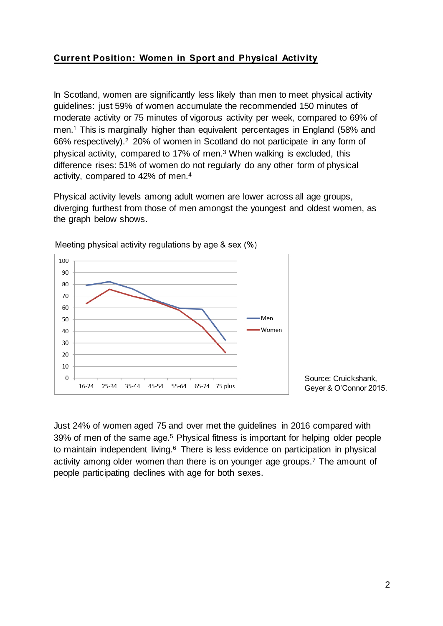## **Current Position: Women in Sport and Physical Activity**

In Scotland, women are significantly less likely than men to meet physical activity guidelines: just 59% of women accumulate the recommended 150 minutes of moderate activity or 75 minutes of vigorous activity per week, compared to 69% of men.<sup>1</sup> This is marginally higher than equivalent percentages in England (58% and 66% respectively).<sup>2</sup> 20% of women in Scotland do not participate in any form of physical activity, compared to 17% of men.<sup>3</sup> When walking is excluded, this difference rises: 51% of women do not regularly do any other form of physical activity, compared to 42% of men.<sup>4</sup>

Physical activity levels among adult women are lower across all age groups, diverging furthest from those of men amongst the youngest and oldest women, as the graph below shows.



Meeting physical activity regulations by age & sex (%)

Just 24% of women aged 75 and over met the guidelines in 2016 compared with 39% of men of the same age.<sup>5</sup> Physical fitness is important for helping older people to maintain independent living.<sup>6</sup> There is less evidence on participation in physical activity among older women than there is on younger age groups.<sup>7</sup> The amount of people participating declines with age for both sexes.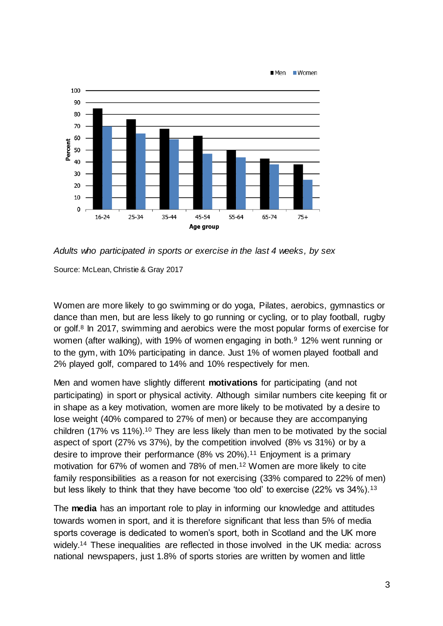

*Adults who participated in sports or exercise in the last 4 weeks, by sex*

Source: McLean, Christie & Gray 2017

Women are more likely to go swimming or do yoga, Pilates, aerobics, gymnastics or dance than men, but are less likely to go running or cycling, or to play football, rugby or golf.<sup>8</sup> In 2017, swimming and aerobics were the most popular forms of exercise for women (after walking), with 19% of women engaging in both.<sup>9</sup> 12% went running or to the gym, with 10% participating in dance. Just 1% of women played football and 2% played golf, compared to 14% and 10% respectively for men.

Men and women have slightly different **motivations** for participating (and not participating) in sport or physical activity. Although similar numbers cite keeping fit or in shape as a key motivation, women are more likely to be motivated by a desire to lose weight (40% compared to 27% of men) or because they are accompanying children (17% vs 11%).<sup>10</sup> They are less likely than men to be motivated by the social aspect of sport (27% vs 37%), by the competition involved (8% vs 31%) or by a desire to improve their performance (8% vs 20%).<sup>11</sup> Enjoyment is a primary motivation for 67% of women and 78% of men.<sup>12</sup> Women are more likely to cite family responsibilities as a reason for not exercising (33% compared to 22% of men) but less likely to think that they have become 'too old' to exercise (22% vs 34%).<sup>13</sup>

The **media** has an important role to play in informing our knowledge and attitudes towards women in sport, and it is therefore significant that less than 5% of media sports coverage is dedicated to women's sport, both in Scotland and the UK more widely.<sup>14</sup> These inequalities are reflected in those involved in the UK media: across national newspapers, just 1.8% of sports stories are written by women and little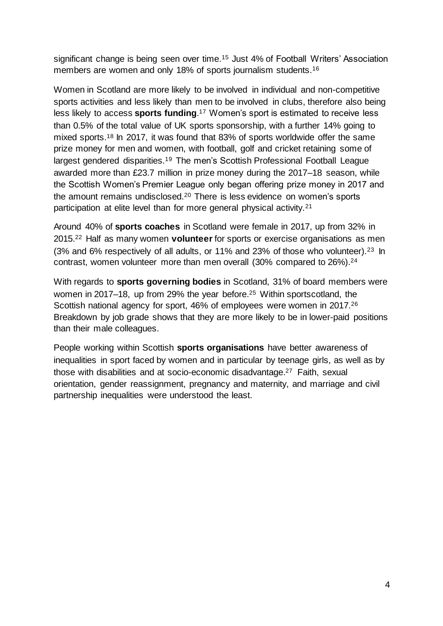significant change is being seen over time.<sup>15</sup> Just 4% of Football Writers' Association members are women and only 18% of sports journalism students.<sup>16</sup>

Women in Scotland are more likely to be involved in individual and non-competitive sports activities and less likely than men to be involved in clubs, therefore also being less likely to access **sports funding**.<sup>17</sup> Women's sport is estimated to receive less than 0.5% of the total value of UK sports sponsorship, with a further 14% going to mixed sports.<sup>18</sup> In 2017, it was found that 83% of sports worldwide offer the same prize money for men and women, with football, golf and cricket retaining some of largest gendered disparities.<sup>19</sup> The men's Scottish Professional Football League awarded more than £23.7 million in prize money during the 2017–18 season, while the Scottish Women's Premier League only began offering prize money in 2017 and the amount remains undisclosed.<sup>20</sup> There is less evidence on women's sports participation at elite level than for more general physical activity.<sup>21</sup>

Around 40% of **sports coaches** in Scotland were female in 2017, up from 32% in 2015.<sup>22</sup> Half as many women **volunteer** for sports or exercise organisations as men (3% and 6% respectively of all adults, or 11% and 23% of those who volunteer).<sup>23</sup> In contrast, women volunteer more than men overall (30% compared to 26%).<sup>24</sup>

With regards to **sports governing bodies** in Scotland, 31% of board members were women in 2017–18, up from 29% the year before.<sup>25</sup> Within sportscotland, the Scottish national agency for sport, 46% of employees were women in 2017.<sup>26</sup> Breakdown by job grade shows that they are more likely to be in lower-paid positions than their male colleagues.

People working within Scottish **sports organisations** have better awareness of inequalities in sport faced by women and in particular by teenage girls, as well as by those with disabilities and at socio-economic disadvantage. <sup>27</sup> Faith, sexual orientation, gender reassignment, pregnancy and maternity, and marriage and civil partnership inequalities were understood the least.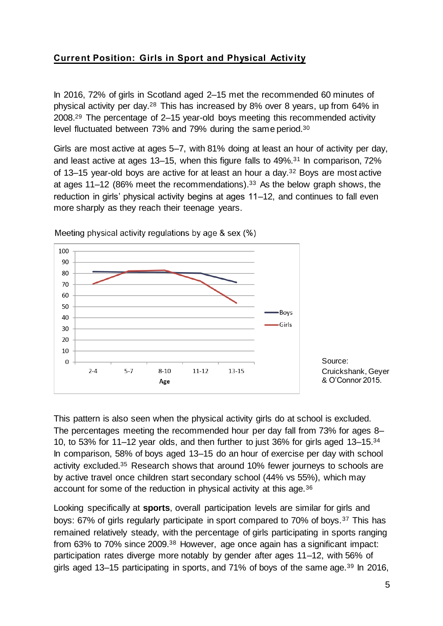# **Current Position: Girls in Sport and Physical Activity**

In 2016, 72% of girls in Scotland aged 2–15 met the recommended 60 minutes of physical activity per day.<sup>28</sup> This has increased by 8% over 8 years, up from 64% in 2008.<sup>29</sup> The percentage of 2–15 year-old boys meeting this recommended activity level fluctuated between 73% and 79% during the same period.<sup>30</sup>

Girls are most active at ages 5–7, with 81% doing at least an hour of activity per day, and least active at ages 13–15, when this figure falls to 49%.<sup>31</sup> In comparison, 72% of 13–15 year-old boys are active for at least an hour a day.<sup>32</sup> Boys are most active at ages 11–12 (86% meet the recommendations).<sup>33</sup> As the below graph shows, the reduction in girls' physical activity begins at ages 11–12, and continues to fall even more sharply as they reach their teenage years.



Meeting physical activity regulations by age & sex (%)

This pattern is also seen when the physical activity girls do at school is excluded. The percentages meeting the recommended hour per day fall from 73% for ages 8– 10, to 53% for 11–12 year olds, and then further to just 36% for girls aged 13–15.<sup>34</sup> In comparison, 58% of boys aged 13–15 do an hour of exercise per day with school activity excluded.<sup>35</sup> Research shows that around 10% fewer journeys to schools are by active travel once children start secondary school (44% vs 55%), which may account for some of the reduction in physical activity at this age.<sup>36</sup>

Looking specifically at **sports**, overall participation levels are similar for girls and boys: 67% of girls regularly participate in sport compared to 70% of boys.<sup>37</sup> This has remained relatively steady, with the percentage of girls participating in sports ranging from 63% to 70% since 2009.<sup>38</sup> However, age once again has a significant impact: participation rates diverge more notably by gender after ages 11–12, with 56% of girls aged 13–15 participating in sports, and 71% of boys of the same age.<sup>39</sup> In 2016,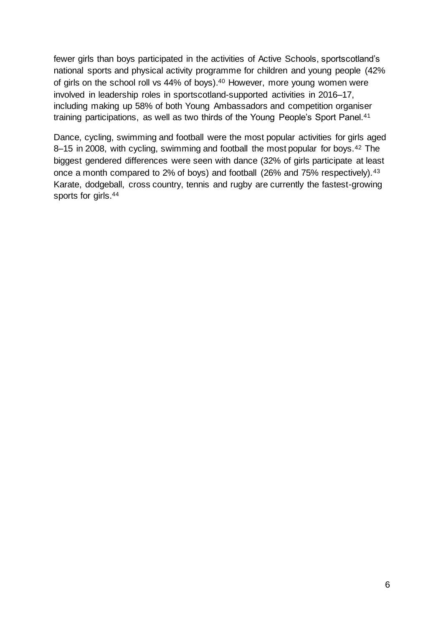fewer girls than boys participated in the activities of Active Schools, sportscotland's national sports and physical activity programme for children and young people (42% of girls on the school roll vs 44% of boys). <sup>40</sup> However, more young women were involved in leadership roles in sportscotland-supported activities in 2016–17, including making up 58% of both Young Ambassadors and competition organiser training participations, as well as two thirds of the Young People's Sport Panel.<sup>41</sup>

Dance, cycling, swimming and football were the most popular activities for girls aged 8–15 in 2008, with cycling, swimming and football the most popular for boys.<sup>42</sup> The biggest gendered differences were seen with dance (32% of girls participate at least once a month compared to 2% of boys) and football (26% and 75% respectively).<sup>43</sup> Karate, dodgeball, cross country, tennis and rugby are currently the fastest-growing sports for girls.44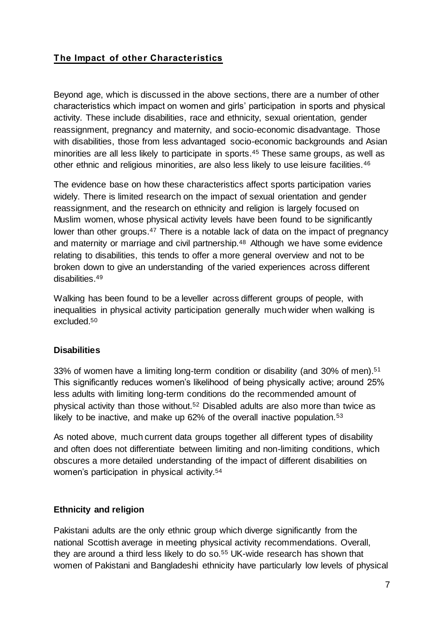# **The Impact of other Characteristics**

Beyond age, which is discussed in the above sections, there are a number of other characteristics which impact on women and girls' participation in sports and physical activity. These include disabilities, race and ethnicity, sexual orientation, gender reassignment, pregnancy and maternity, and socio-economic disadvantage. Those with disabilities, those from less advantaged socio-economic backgrounds and Asian minorities are all less likely to participate in sports.<sup>45</sup> These same groups, as well as other ethnic and religious minorities, are also less likely to use leisure facilities.<sup>46</sup>

The evidence base on how these characteristics affect sports participation varies widely. There is limited research on the impact of sexual orientation and gender reassignment, and the research on ethnicity and religion is largely focused on Muslim women, whose physical activity levels have been found to be significantly lower than other groups.<sup>47</sup> There is a notable lack of data on the impact of pregnancy and maternity or marriage and civil partnership.<sup>48</sup> Although we have some evidence relating to disabilities, this tends to offer a more general overview and not to be broken down to give an understanding of the varied experiences across different disabilities.<sup>49</sup>

Walking has been found to be a leveller across different groups of people, with inequalities in physical activity participation generally much wider when walking is excluded.<sup>50</sup>

#### **Disabilities**

33% of women have a limiting long-term condition or disability (and 30% of men).<sup>51</sup> This significantly reduces women's likelihood of being physically active; around 25% less adults with limiting long-term conditions do the recommended amount of physical activity than those without.<sup>52</sup> Disabled adults are also more than twice as likely to be inactive, and make up 62% of the overall inactive population.<sup>53</sup>

As noted above, much current data groups together all different types of disability and often does not differentiate between limiting and non-limiting conditions, which obscures a more detailed understanding of the impact of different disabilities on women's participation in physical activity.<sup>54</sup>

#### **Ethnicity and religion**

Pakistani adults are the only ethnic group which diverge significantly from the national Scottish average in meeting physical activity recommendations. Overall, they are around a third less likely to do so.<sup>55</sup> UK-wide research has shown that women of Pakistani and Bangladeshi ethnicity have particularly low levels of physical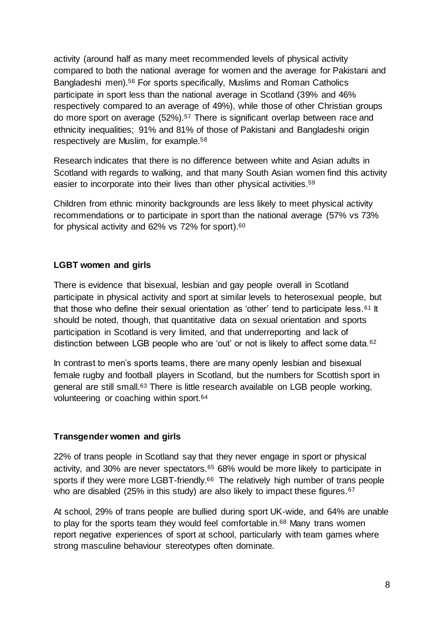activity (around half as many meet recommended levels of physical activity compared to both the national average for women and the average for Pakistani and Bangladeshi men).<sup>56</sup> For sports specifically, Muslims and Roman Catholics participate in sport less than the national average in Scotland (39% and 46% respectively compared to an average of 49%), while those of other Christian groups do more sport on average (52%).<sup>57</sup> There is significant overlap between race and ethnicity inequalities; 91% and 81% of those of Pakistani and Bangladeshi origin respectively are Muslim, for example.<sup>58</sup>

Research indicates that there is no difference between white and Asian adults in Scotland with regards to walking, and that many South Asian women find this activity easier to incorporate into their lives than other physical activities. 59

Children from ethnic minority backgrounds are less likely to meet physical activity recommendations or to participate in sport than the national average (57% vs 73% for physical activity and 62% vs 72% for sport).<sup>60</sup>

#### **LGBT women and girls**

There is evidence that bisexual, lesbian and gay people overall in Scotland participate in physical activity and sport at similar levels to heterosexual people, but that those who define their sexual orientation as 'other' tend to participate less.<sup>61</sup> It should be noted, though, that quantitative data on sexual orientation and sports participation in Scotland is very limited, and that underreporting and lack of distinction between LGB people who are 'out' or not is likely to affect some data.<sup>62</sup>

In contrast to men's sports teams, there are many openly lesbian and bisexual female rugby and football players in Scotland, but the numbers for Scottish sport in general are still small.<sup>63</sup> There is little research available on LGB people working, volunteering or coaching within sport.<sup>64</sup>

#### **Transgender women and girls**

22% of trans people in Scotland say that they never engage in sport or physical activity, and 30% are never spectators.<sup>65</sup> 68% would be more likely to participate in sports if they were more LGBT-friendly.<sup>66</sup> The relatively high number of trans people who are disabled (25% in this study) are also likely to impact these figures.<sup>67</sup>

At school, 29% of trans people are bullied during sport UK-wide, and 64% are unable to play for the sports team they would feel comfortable in.<sup>68</sup> Many trans women report negative experiences of sport at school, particularly with team games where strong masculine behaviour stereotypes often dominate.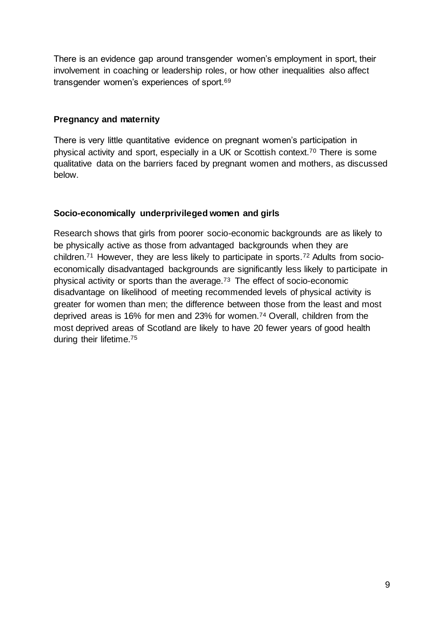There is an evidence gap around transgender women's employment in sport, their involvement in coaching or leadership roles, or how other inequalities also affect transgender women's experiences of sport.<sup>69</sup>

### **Pregnancy and maternity**

There is very little quantitative evidence on pregnant women's participation in physical activity and sport, especially in a UK or Scottish context.<sup>70</sup> There is some qualitative data on the barriers faced by pregnant women and mothers, as discussed below.

## **Socio-economically underprivileged women and girls**

Research shows that girls from poorer socio-economic backgrounds are as likely to be physically active as those from advantaged backgrounds when they are children.<sup>71</sup> However, they are less likely to participate in sports.<sup>72</sup> Adults from socioeconomically disadvantaged backgrounds are significantly less likely to participate in physical activity or sports than the average.<sup>73</sup> The effect of socio-economic disadvantage on likelihood of meeting recommended levels of physical activity is greater for women than men; the difference between those from the least and most deprived areas is 16% for men and 23% for women.<sup>74</sup> Overall, children from the most deprived areas of Scotland are likely to have 20 fewer years of good health during their lifetime.75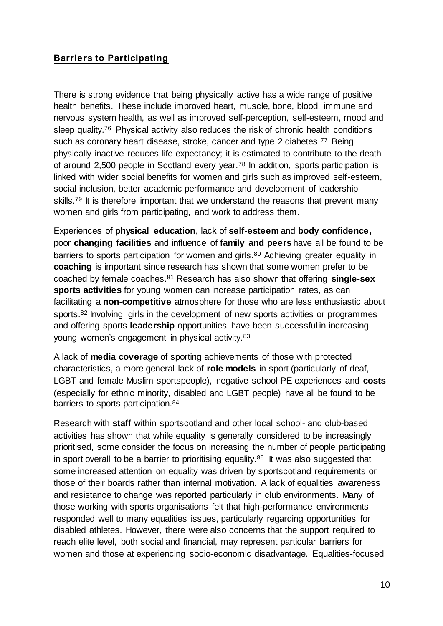## **Barriers to Participating**

There is strong evidence that being physically active has a wide range of positive health benefits. These include improved heart, muscle, bone, blood, immune and nervous system health, as well as improved self-perception, self-esteem, mood and sleep quality.<sup>76</sup> Physical activity also reduces the risk of chronic health conditions such as coronary heart disease, stroke, cancer and type 2 diabetes.<sup>77</sup> Being physically inactive reduces life expectancy; it is estimated to contribute to the death of around 2,500 people in Scotland every year.<sup>78</sup> In addition, sports participation is linked with wider social benefits for women and girls such as improved self-esteem, social inclusion, better academic performance and development of leadership skills.<sup>79</sup> It is therefore important that we understand the reasons that prevent many women and girls from participating, and work to address them.

Experiences of **physical education**, lack of **self-esteem** and **body confidence,**  poor **changing facilities** and influence of **family and peers** have all be found to be barriers to sports participation for women and girls.<sup>80</sup> Achieving greater equality in **coaching** is important since research has shown that some women prefer to be coached by female coaches.<sup>81</sup> Research has also shown that offering **single-sex sports activities** for young women can increase participation rates, as can facilitating a **non-competitive** atmosphere for those who are less enthusiastic about sports.<sup>82</sup> Involving girls in the development of new sports activities or programmes and offering sports **leadership** opportunities have been successful in increasing young women's engagement in physical activity.<sup>83</sup>

A lack of **media coverage** of sporting achievements of those with protected characteristics, a more general lack of **role models** in sport (particularly of deaf, LGBT and female Muslim sportspeople), negative school PE experiences and **costs** (especially for ethnic minority, disabled and LGBT people) have all be found to be barriers to sports participation.<sup>84</sup>

Research with **staff** within sportscotland and other local school- and club-based activities has shown that while equality is generally considered to be increasingly prioritised, some consider the focus on increasing the number of people participating in sport overall to be a barrier to prioritising equality. $85$  It was also suggested that some increased attention on equality was driven by sportscotland requirements or those of their boards rather than internal motivation. A lack of equalities awareness and resistance to change was reported particularly in club environments. Many of those working with sports organisations felt that high-performance environments responded well to many equalities issues, particularly regarding opportunities for disabled athletes. However, there were also concerns that the support required to reach elite level, both social and financial, may represent particular barriers for women and those at experiencing socio-economic disadvantage. Equalities-focused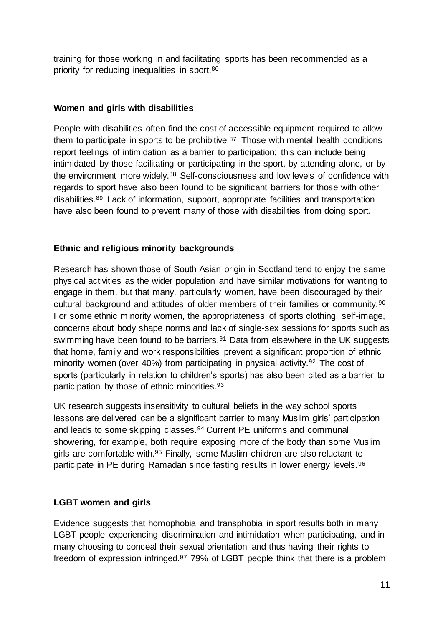training for those working in and facilitating sports has been recommended as a priority for reducing inequalities in sport.<sup>86</sup>

#### **Women and girls with disabilities**

People with disabilities often find the cost of accessible equipment required to allow them to participate in sports to be prohibitive. $87$  Those with mental health conditions report feelings of intimidation as a barrier to participation; this can include being intimidated by those facilitating or participating in the sport, by attending alone, or by the environment more widely.<sup>88</sup> Self-consciousness and low levels of confidence with regards to sport have also been found to be significant barriers for those with other disabilities.<sup>89</sup> Lack of information, support, appropriate facilities and transportation have also been found to prevent many of those with disabilities from doing sport.

#### **Ethnic and religious minority backgrounds**

Research has shown those of South Asian origin in Scotland tend to enjoy the same physical activities as the wider population and have similar motivations for wanting to engage in them, but that many, particularly women, have been discouraged by their cultural background and attitudes of older members of their families or community.<sup>90</sup> For some ethnic minority women, the appropriateness of sports clothing, self-image, concerns about body shape norms and lack of single-sex sessions for sports such as swimming have been found to be barriers.<sup>91</sup> Data from elsewhere in the UK suggests that home, family and work responsibilities prevent a significant proportion of ethnic minority women (over 40%) from participating in physical activity.<sup>92</sup> The cost of sports (particularly in relation to children's sports) has also been cited as a barrier to participation by those of ethnic minorities.<sup>93</sup>

UK research suggests insensitivity to cultural beliefs in the way school sports lessons are delivered can be a significant barrier to many Muslim girls' participation and leads to some skipping classes.<sup>94</sup> Current PE uniforms and communal showering, for example, both require exposing more of the body than some Muslim girls are comfortable with.<sup>95</sup> Finally, some Muslim children are also reluctant to participate in PE during Ramadan since fasting results in lower energy levels. 96

#### **LGBT women and girls**

Evidence suggests that homophobia and transphobia in sport results both in many LGBT people experiencing discrimination and intimidation when participating, and in many choosing to conceal their sexual orientation and thus having their rights to freedom of expression infringed.<sup>97</sup> 79% of LGBT people think that there is a problem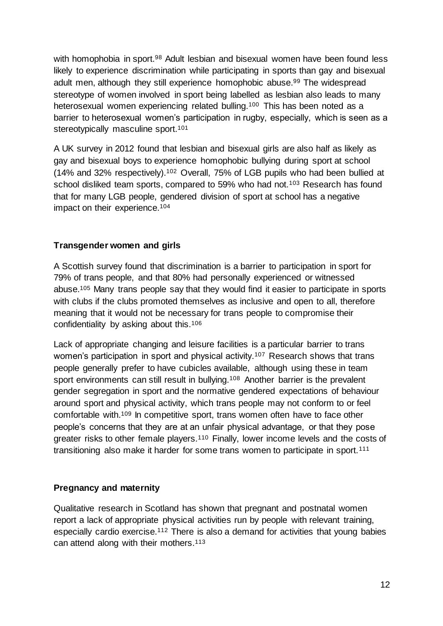with homophobia in sport.<sup>98</sup> Adult lesbian and bisexual women have been found less likely to experience discrimination while participating in sports than gay and bisexual adult men, although they still experience homophobic abuse.<sup>99</sup> The widespread stereotype of women involved in sport being labelled as lesbian also leads to many heterosexual women experiencing related bulling.<sup>100</sup> This has been noted as a barrier to heterosexual women's participation in rugby, especially, which is seen as a stereotypically masculine sport.<sup>101</sup>

A UK survey in 2012 found that lesbian and bisexual girls are also half as likely as gay and bisexual boys to experience homophobic bullying during sport at school (14% and 32% respectively).<sup>102</sup> Overall, 75% of LGB pupils who had been bullied at school disliked team sports, compared to 59% who had not.<sup>103</sup> Research has found that for many LGB people, gendered division of sport at school has a negative impact on their experience.<sup>104</sup>

#### **Transgender women and girls**

A Scottish survey found that discrimination is a barrier to participation in sport for 79% of trans people, and that 80% had personally experienced or witnessed abuse.<sup>105</sup> Many trans people say that they would find it easier to participate in sports with clubs if the clubs promoted themselves as inclusive and open to all, therefore meaning that it would not be necessary for trans people to compromise their confidentiality by asking about this.<sup>106</sup>

Lack of appropriate changing and leisure facilities is a particular barrier to trans women's participation in sport and physical activity.<sup>107</sup> Research shows that trans people generally prefer to have cubicles available, although using these in team sport environments can still result in bullying.<sup>108</sup> Another barrier is the prevalent gender segregation in sport and the normative gendered expectations of behaviour around sport and physical activity, which trans people may not conform to or feel comfortable with.<sup>109</sup> In competitive sport, trans women often have to face other people's concerns that they are at an unfair physical advantage, or that they pose greater risks to other female players.<sup>110</sup> Finally, lower income levels and the costs of transitioning also make it harder for some trans women to participate in sport.<sup>111</sup>

#### **Pregnancy and maternity**

Qualitative research in Scotland has shown that pregnant and postnatal women report a lack of appropriate physical activities run by people with relevant training, especially cardio exercise.<sup>112</sup> There is also a demand for activities that young babies can attend along with their mothers.113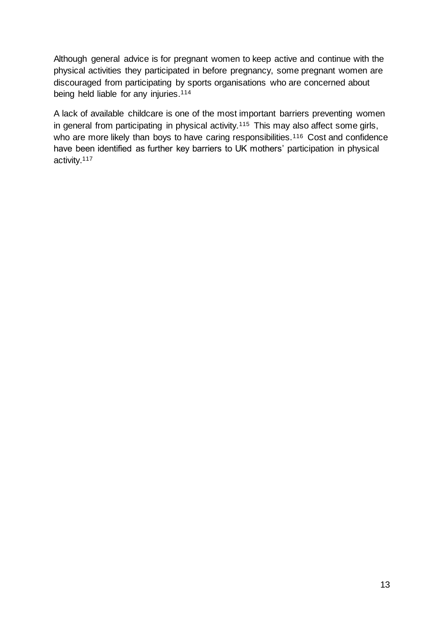Although general advice is for pregnant women to keep active and continue with the physical activities they participated in before pregnancy, some pregnant women are discouraged from participating by sports organisations who are concerned about being held liable for any injuries.<sup>114</sup>

A lack of available childcare is one of the most important barriers preventing women in general from participating in physical activity.<sup>115</sup> This may also affect some girls, who are more likely than boys to have caring responsibilities.<sup>116</sup> Cost and confidence have been identified as further key barriers to UK mothers' participation in physical activity.117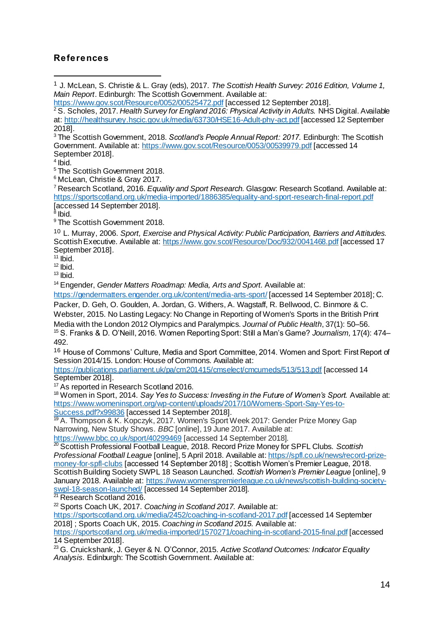### **References**

<sup>2</sup> S. Scholes, 2017. *Health Survey for England 2016: Physical Activity in Adults.* NHS Digital. Available at:<http://healthsurvey.hscic.gov.uk/media/63730/HSE16-Adult-phy-act.pdf> [accessed 12 September 2018].

<sup>3</sup> The Scottish Government, 2018. *Scotland's People Annual Report: 2017.* Edinburgh: The Scottish Government. Available at:<https://www.gov.scot/Resource/0053/00539979.pdf> [accessed 14 September 2018].

4 Ibid.

l

<sup>5</sup> The Scottish Government 2018.

<sup>6</sup> McLean, Christie & Gray 2017.

<sup>7</sup> Research Scotland, 2016. *Equality and Sport Research.* Glasgow: Research Scotland. Available at: <https://sportscotland.org.uk/media-imported/1886385/equality-and-sport-research-final-report.pdf> [accessed 14 September 2018].

<sup>8</sup> Ibid.

<sup>9</sup> The Scottish Government 2018.

<sup>10</sup> L. Murray, 2006. *Sport, Exercise and Physical Activity: Public Participation, Barriers and Attitudes.*  Scottish Executive. Available at[: https://www.gov.scot/Resource/Doc/932/0041468.pdf](https://www.gov.scot/Resource/Doc/932/0041468.pdf) [accessed 17 September 2018].

 $11$  Ibid.

 $12$  lbid.

 $13$  Ibid.

<sup>14</sup> Engender, *Gender Matters Roadmap: Media, Arts and Sport.* Available at:

<https://gendermatters.engender.org.uk/content/media-arts-sport/> [accessed 14 September 2018]; C.

Packer, D. Geh, O. Goulden, A. Jordan, G. Withers, A. Wagstaff, R. Bellwood, C. Binmore & C. Webster, 2015. No Lasting Legacy: No Change in Reporting of Women's Sports in the British Print

Media with the London 2012 Olympics and Paralympics. *Journal of Public Health*, 37(1): 50–56. <sup>15</sup> S. Franks & D. O'Neill, 2016. Women Reporting Sport: Still a Man's Game? *Journalism,* 17(4): 474– 492.

<sup>16</sup> House of Commons' Culture, Media and Sport Committee, 2014. Women and Sport: First Report of Session 2014/15. London: House of Commons. Available at:

<https://publications.parliament.uk/pa/cm201415/cmselect/cmcumeds/513/513.pdf> [accessed 14 September 2018].

<sup>17</sup> As reported in Research Scotland 2016.

<sup>18</sup> Women in Sport, 2014. *Say Yes to Success: Investing in the Future of Women's Sport.* Available at: [https://www.womeninsport.org/wp-content/uploads/2017/10/Womens-Sport-Say-Yes-to-](https://www.womeninsport.org/wp-content/uploads/2017/10/Womens-Sport-Say-Yes-to-Success.pdf?x99836)[Success.pdf?x99836](https://www.womeninsport.org/wp-content/uploads/2017/10/Womens-Sport-Say-Yes-to-Success.pdf?x99836) [accessed 14 September 2018].

<sup>19</sup> A. Thompson & K. Kopczyk, 2017. Women's Sport Week 2017: Gender Prize Money Gap Narrowing, New Study Shows. *BBC* [online], 19 June 2017. Available at: <https://www.bbc.co.uk/sport/40299469> [accessed 14 September 2018].

<sup>20</sup> Scottish Professional Football League, 2018. Record Prize Money for SPFL Clubs. *Scottish Professional Football League* [online], 5 April 2018. Available at: [https://spfl.co.uk/news/record-prize](https://spfl.co.uk/news/record-prize-money-for-spfl-clubs)[money-for-spfl-clubs](https://spfl.co.uk/news/record-prize-money-for-spfl-clubs) [accessed 14 September 2018] ; Scottish Women's Premier League, 2018. Scottish Building Society SWPL 18 Season Launched. *Scottish Women's Premier League* [online], 9 January 2018. Available at[: https://www.womenspremierleague.co.uk/news/scottish-building-society](https://www.womenspremierleague.co.uk/news/scottish-building-society-swpl-18-season-launched/)[swpl-18-season-launched/](https://www.womenspremierleague.co.uk/news/scottish-building-society-swpl-18-season-launched/) [accessed 14 September 2018].

<sup>21</sup> Research Scotland 2016.

<sup>22</sup> Sports Coach UK, 2017. *Coaching in Scotland 2017.* Available at:

<https://sportscotland.org.uk/media/2452/coaching-in-scotland-2017.pdf> [accessed 14 September 2018] ; Sports Coach UK, 2015. *Coaching in Scotland 2015.* Available at:

<https://sportscotland.org.uk/media-imported/1570271/coaching-in-scotland-2015-final.pdf> [accessed 14 September 2018].

<sup>23</sup> G. Cruickshank, J. Geyer & N. O'Connor, 2015. *Active Scotland Outcomes: Indicator Equality Analysis.* Edinburgh: The Scottish Government. Available at:

<sup>1</sup> J. McLean, S. Christie & L. Gray (eds), 2017. *The Scottish Health Survey: 2016 Edition, Volume 1, Main Report*. Edinburgh: The Scottish Government. Available at:

<https://www.gov.scot/Resource/0052/00525472.pdf> [accessed 12 September 2018].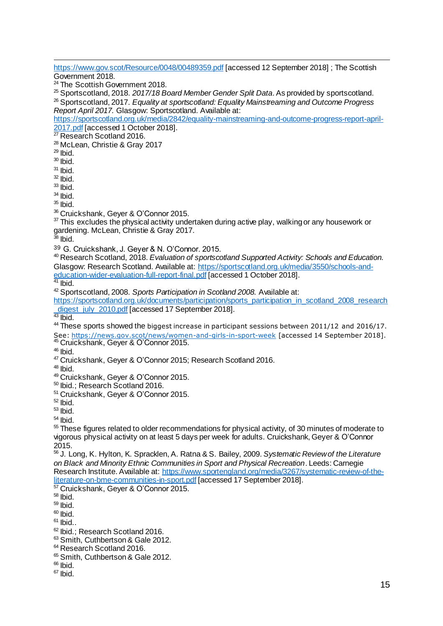$\overline{a}$ <https://www.gov.scot/Resource/0048/00489359.pdf> [accessed 12 September 2018] ; The Scottish Government 2018. <sup>24</sup> The Scottish Government 2018. <sup>25</sup> Sportscotland, 2018. *2017/18 Board Member Gender Split Data*. As provided by sportscotland. <sup>26</sup> Sportscotland, 2017. *Equality at sportscotland: Equality Mainstreaming and Outcome Progress Report April 2017.* Glasgow: Sportscotland. Available at: [https://sportscotland.org.uk/media/2842/equality-mainstreaming-and-outcome-progress-report-april-](https://sportscotland.org.uk/media/2842/equality-mainstreaming-and-outcome-progress-report-april-2017.pdf)[2017.pdf](https://sportscotland.org.uk/media/2842/equality-mainstreaming-and-outcome-progress-report-april-2017.pdf) [accessed 1 October 2018]. <sup>27</sup> Research Scotland 2016. <sup>28</sup> McLean, Christie & Gray 2017  $29$  Ibid.  $30$  Ibid.  $31$  lbid.  $32$  Ibid.  $33$  lbid.  $34$  Ibid.  $35$  lbid. <sup>36</sup> Cruickshank, Geyer & O'Connor 2015.  $37$  This excludes the physical activity undertaken during active play, walking or any housework or gardening. McLean, Christie & Gray 2017.  $38$  Ibid. <sup>39</sup> G. Cruickshank, J. Geyer & N. O'Connor. 2015. <sup>40</sup> Research Scotland, 2018. *Evaluation of sportscotland Supported Activity: Schools and Education.*  Glasgow: Research Scotland. Available at[: https://sportscotland.org.uk/media/3550/schools-and](https://sportscotland.org.uk/media/3550/schools-and-education-wider-evaluation-full-report-final.pdf)[education-wider-evaluation-full-report-final.pdf](https://sportscotland.org.uk/media/3550/schools-and-education-wider-evaluation-full-report-final.pdf) [accessed 1 October 2018].  $41$  Ibid. <sup>42</sup> Sportscotland, 2008. *Sports Participation in Scotland 2008.* Available at: [https://sportscotland.org.uk/documents/participation/sports\\_participation\\_in\\_scotland\\_2008\\_research](https://sportscotland.org.uk/documents/participation/sports_participation_in_scotland_2008_research_digest_july_2010.pdf) digest\_july\_2010.pdf [accessed 17 September 2018]. <sup>43</sup> Ibid. 44 These sports showed the biggest increase in participant sessions between 2011/12 and 2016/17. See:<https://news.gov.scot/news/women-and-girls-in-sport-week> [accessed 14 September 2018]. <sup>45</sup> Cruickshank, Geyer & O'Connor 2015.  $46$  Ibid. <sup>47</sup> Cruickshank, Geyer & O'Connor 2015; Research Scotland 2016. <sup>48</sup> Ibid. <sup>49</sup> Cruickshank, Geyer & O'Connor 2015. <sup>50</sup> Ibid.; Research Scotland 2016. <sup>51</sup> Cruickshank, Geyer & O'Connor 2015.  $52$  lbid. <sup>53</sup> Ibid. <sup>54</sup> Ibid.  $55$  These figures related to older recommendations for physical activity, of 30 minutes of moderate to vigorous physical activity on at least 5 days per week for adults. Cruickshank, Geyer & O'Connor 2015. <sup>56</sup> J. Long, K. Hylton, K. Spracklen, A. Ratna & S. Bailey, 2009. *Systematic Review of the Literature on Black and Minority Ethnic Communities in Sport and Physical Recreation*. Leeds: Carnegie Research Institute. Available at[: https://www.sportengland.org/media/3267/systematic-review-of-the](https://www.sportengland.org/media/3267/systematic-review-of-the-literature-on-bme-communities-in-sport.pdf)[literature-on-bme-communities-in-sport.pdf](https://www.sportengland.org/media/3267/systematic-review-of-the-literature-on-bme-communities-in-sport.pdf) [accessed 17 September 2018]. <sup>57</sup> Cruickshank, Geyer & O'Connor 2015. <sup>58</sup> Ibid. <sup>59</sup> Ibid.  $60$  lbid.  $61$  lbid. <sup>62</sup> Ibid.; Research Scotland 2016. 63 Smith, Cuthbertson & Gale 2012. <sup>64</sup> Research Scotland 2016. 65 Smith, Cuthbertson & Gale 2012.  $66$  Ibid.  $67$  Ibid.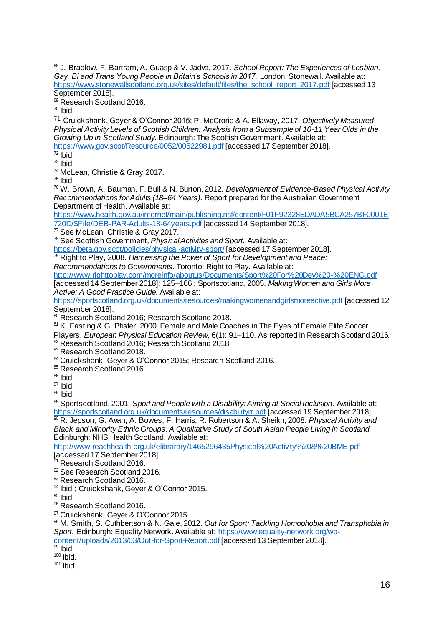$\overline{a}$ <sup>68</sup> J. Bradlow, F. Bartram, A. Guasp & V. Jadva, 2017. *School Report: The Experiences of Lesbian,*  Gay, Bi and Trans Young People in Britain's Schools in 2017. London: Stonewall. Available at: [https://www.stonewallscotland.org.uk/sites/default/files/the\\_school\\_report\\_2017.pdf](https://www.stonewallscotland.org.uk/sites/default/files/the_school_report_2017.pdf) [accessed 13 September 2018].

<sup>69</sup> Research Scotland 2016.

 $70$  Ibid.

<sup>71</sup> Cruickshank, Geyer & O'Connor 2015; P. McCrorie & A. Ellaway, 2017. *Objectively Measured Physical Activity Levels of Scottish Children: Analysis from a Subsample of 10-11 Year Olds in the Growing Up in Scotland Study.* Edinburgh: The Scottish Government. Available at: <https://www.gov.scot/Resource/0052/00522981.pdf> [accessed 17 September 2018].

 $72$  lbid.

 $73$  Ibid.

<sup>74</sup> McLean, Christie & Gray 2017.

 $75$  Ibid.

<sup>76</sup> W. Brown, A. Bauman, F. Bull & N. Burton, 2012. *Development of Evidence-Based Physical Activity Recommendations for Adults (18–64 Years)*. Report prepared for the Australian Government Department of Health. Available at:

[https://www.health.gov.au/internet/main/publishing.nsf/content/F01F92328EDADA5BCA257BF0001E](https://www.health.gov.au/internet/main/publishing.nsf/content/F01F92328EDADA5BCA257BF0001E720D/$File/DEB-PAR-Adults-18-64years.pdf)

[720D/\\$File/DEB-PAR-Adults-18-64years.pdf](https://www.health.gov.au/internet/main/publishing.nsf/content/F01F92328EDADA5BCA257BF0001E720D/$File/DEB-PAR-Adults-18-64years.pdf) [accessed 14 September 2018].

<sup>77</sup> See McLean, Christie & Gray 2017.

<sup>78</sup> See Scottish Government, *Physical Activites and Sport.* Available at:

<https://beta.gov.scot/policies/physical-activity-sport/> [accessed 17 September 2018].

<sup>79</sup> Right to Play, 2008. *Harnessing the Power of Sport for Development and Peace:* 

*Recommendations to Governments.* Toronto: Right to Play. Available at:

<http://www.righttoplay.com/moreinfo/aboutus/Documents/Sport%20For%20Dev%20-%20ENG.pdf> [accessed 14 September 2018]: 125–166 ; Sportscotland, 2005. *Making Women and Girls More* 

*Active: A Good Practice Guide.* Available at:

<https://sportscotland.org.uk/documents/resources/makingwomenandgirlsmoreactive.pdf> [accessed 12 September 2018].

80 Research Scotland 2016: Research Scotland 2018.

<sup>81</sup> K. Fasting & G. Pfister, 2000. Female and Male Coaches in The Eyes of Female Elite Soccer

Players. *European Physical Education Review*, 6(1): 91–110. As reported in Research Scotland 2016. 82 Research Scotland 2016; Research Scotland 2018.

83 Research Scotland 2018.

84 Cruickshank, Geyer & O'Connor 2015; Research Scotland 2016.

85 Research Scotland 2016.

<sup>86</sup> Ibid.

 $87$  Ibid.

 $88$  Ibid.

<sup>89</sup> Sportscotland, 2001. *Sport and People with a Disability: Aiming at Social Inclusion*. Available at: <https://sportscotland.org.uk/documents/resources/disabilityrr.pdf> [accessed 19 September 2018]. <sup>90</sup> R. Jepson, G. Avan, A. Bowes, F. Harris, R. Robertson & A. Sheikh, 2008. *Physical Activity and* 

*Black and Minority Ethnic Groups: A Qualitative Study of South Asian People Living in Scotland.* Edinburgh: NHS Health Scotland. Available at:

<http://www.reachhealth.org.uk/elibrarary/1465296435Physical%20Activity%20&%20BME.pdf> Faccessed 17 September 2018].

Research Scotland 2016.

92 See Research Scotland 2016.

93 Research Scotland 2016.

<sup>94</sup> Ibid.; Cruickshank, Geyer & O'Connor 2015.

<sup>95</sup> Ibid.

96 Research Scotland 2016.

97 Cruickshank, Geyer & O'Connor 2015.

<sup>98</sup> M. Smith, S. Cuthbertson & N. Gale, 2012. *Out for Sport: Tackling Homophobia and Transphobia in Sport.* Edinburgh: Equality Network. Available at[: https://www.equality-network.org/wp-](https://www.equality-network.org/wp-content/uploads/2013/03/Out-for-Sport-Report.pdf)

[content/uploads/2013/03/Out-for-Sport-Report.pdf](https://www.equality-network.org/wp-content/uploads/2013/03/Out-for-Sport-Report.pdf) [accessed 13 September 2018].

 $\overline{99}$  Ibid.

 $100$  lbid.

 $101$  Ibid.